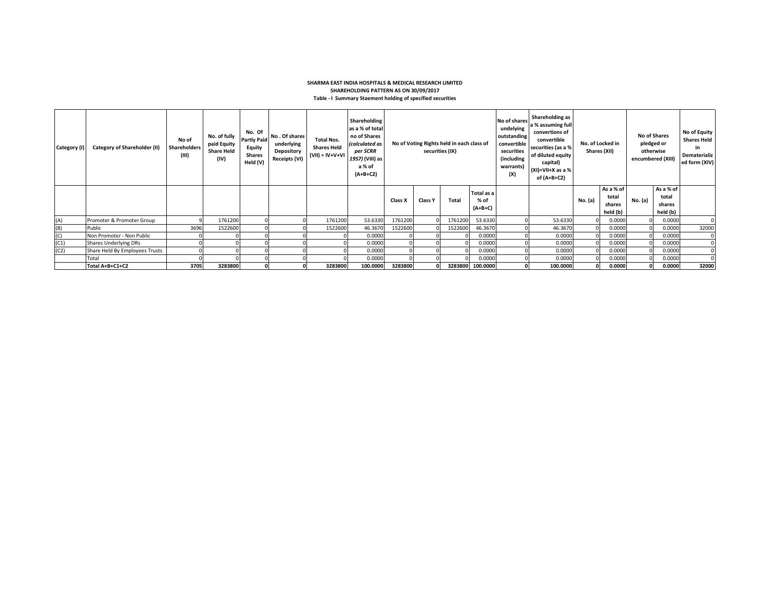## **SHARMA EAST INDIA HOSPITALS & MEDICAL RESEARCH LIMITED SHAREHOLDING PATTERN AS ON 30/09/2017 Table - I Summary Staement holding of specified securities**

| Category (I) | Category of Shareholder (II)   | No of<br><b>Shareholders</b><br>(III) | No. of fully<br>paid Equity<br><b>Share Held</b><br>(IV) | No. Of<br><b>Partly Paid</b><br>Equity<br><b>Shares</b><br>Held (V) | No. Of shares<br>underlying<br>Depository<br><b>Receipts (VI)</b> | <b>Total Nos.</b><br><b>Shares Held</b><br>$(VII) = IV+V+VI$ | Shareholding<br>as a % of total<br>no of Shares<br>(calculated as<br>per SCRR<br>1957) (VIII) as<br>a % of<br>$(A+B+C2)$ | No of Voting Rights held in each class of<br>securities (IX) |                |              | No of shares<br>undelying<br>outstanding<br>convertible<br>securities<br>(including<br>warrants)<br>(X) | Shareholding as<br>a % assuming full<br>convertions of<br>convertible<br>securities (as a %<br>of diluted equity<br>capital)<br>$(XI)=VII+X$ as a %<br>of (A+B+C2) |          | No. of Locked in<br>Shares (XII) | No of Shares<br>pledged or<br>otherwise<br>encumbered (XIII) |         | No of Equity<br><b>Shares Held</b><br>in<br>Dematerializ<br>ed form (XIV) |       |
|--------------|--------------------------------|---------------------------------------|----------------------------------------------------------|---------------------------------------------------------------------|-------------------------------------------------------------------|--------------------------------------------------------------|--------------------------------------------------------------------------------------------------------------------------|--------------------------------------------------------------|----------------|--------------|---------------------------------------------------------------------------------------------------------|--------------------------------------------------------------------------------------------------------------------------------------------------------------------|----------|----------------------------------|--------------------------------------------------------------|---------|---------------------------------------------------------------------------|-------|
|              |                                |                                       |                                                          |                                                                     |                                                                   |                                                              |                                                                                                                          | Class X                                                      | <b>Class Y</b> | <b>Total</b> | Total as a<br>% of<br>$(A+B+C)$                                                                         |                                                                                                                                                                    |          | No. (a)                          | As a % of<br>total<br>shares<br>held (b)                     | No. (a) | As a % of<br>total<br>shares<br>held (b)                                  |       |
| (A)          | Promoter & Promoter Group      |                                       | 1761200                                                  |                                                                     |                                                                   | 1761200                                                      | 53.6330                                                                                                                  | 1761200                                                      |                | 1761200      | 53.6330                                                                                                 |                                                                                                                                                                    | 53.6330  |                                  | 0.0000                                                       |         | 0.0000                                                                    |       |
| (B)          | Public                         | 3696                                  | 1522600                                                  |                                                                     |                                                                   | 1522600                                                      | 46.3670                                                                                                                  | 1522600                                                      |                | 1522600      | 46.3670                                                                                                 |                                                                                                                                                                    | 46.3670  |                                  | 0.0000                                                       |         | 0.0000                                                                    | 32000 |
| (C)          | Non Promoter - Non Public      |                                       |                                                          |                                                                     |                                                                   |                                                              | 0.0000                                                                                                                   |                                                              |                |              | 0.0000                                                                                                  |                                                                                                                                                                    | 0.0000   |                                  | 0.0000                                                       |         | 0.0000                                                                    |       |
| (C1)         | <b>Shares Underlying DRs</b>   |                                       |                                                          |                                                                     |                                                                   |                                                              | 0.0000                                                                                                                   |                                                              |                |              | 0.0000                                                                                                  |                                                                                                                                                                    | 0.0000   |                                  | 0.0000                                                       |         | 0.0000                                                                    |       |
| (C2)         | Share Held By Employees Trusts |                                       |                                                          |                                                                     |                                                                   |                                                              | 0.0000                                                                                                                   |                                                              |                |              | 0.0000                                                                                                  |                                                                                                                                                                    | 0.0000   |                                  | 0.0000                                                       |         | 0.0000                                                                    |       |
|              | Total                          |                                       |                                                          |                                                                     |                                                                   |                                                              | 0.0000                                                                                                                   |                                                              |                |              | 0.0000                                                                                                  |                                                                                                                                                                    | 0.0000   |                                  | 0.0000                                                       |         | 0.0000                                                                    |       |
|              | Total A+B+C1+C2                | 3705                                  | 3283800                                                  |                                                                     |                                                                   | 3283800                                                      | 100.0000                                                                                                                 | 3283800                                                      |                |              | 3283800 100.0000                                                                                        |                                                                                                                                                                    | 100.0000 |                                  | 0.0000                                                       |         | 0.0000                                                                    | 32000 |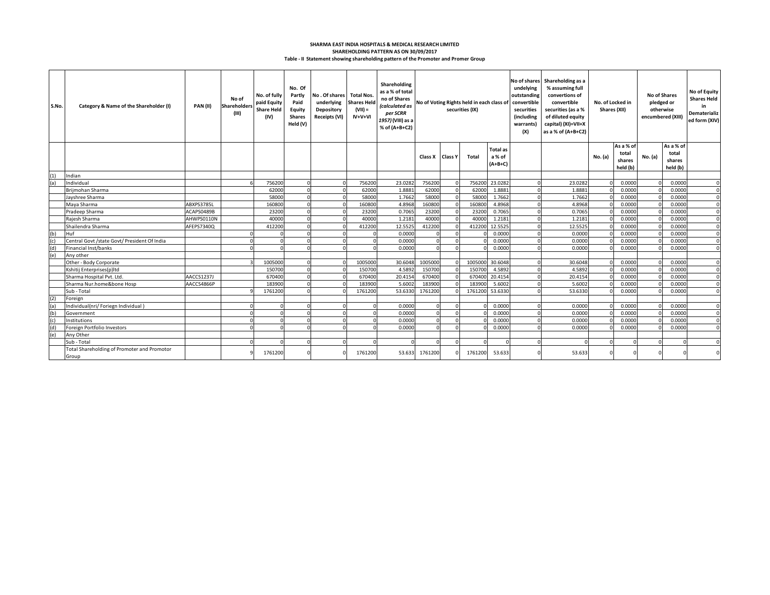## **Table - II Statement showing shareholding pattern of the Promoter and Promer Group SHAREHOLDING PATTERN AS ON 30/09/2017 SHARMA EAST INDIA HOSPITALS & MEDICAL RESEARCH LIMITED**

| S.No. | Category & Name of the Shareholder (I)               | PAN(II)    | No of<br>Shareholders<br>(III) | No. of fully<br>paid Equity<br><b>Share Held</b><br>(IV) | No. Of<br>Partly<br>Paid<br>Equity<br><b>Shares</b><br>Held (V) | No. Of shares Total Nos.<br>underlying<br>Depository<br>Receipts (VI) | <b>Shares Held</b><br>$(VII) =$<br>$IV+V+VI$ | Shareholding<br>as a % of total<br>no of Shares<br>(calculated as<br>per SCRR<br>1957) (VIII) as a<br>% of (A+B+C2) | No of Voting Rights held in each class of<br>securities (IX) |  | undelying<br>outstanding<br>convertible<br>securities<br>(including<br>warrants)<br>(X) | No of shares Shareholding as a<br>% assuming full<br>convertions of<br>convertible<br>securities (as a %<br>of diluted equity<br>capital) (XI)=VII+X<br>as a % of (A+B+C2) |          | No. of Locked in<br>Shares (XII) | <b>No of Shares</b><br>pledged or<br>otherwise<br>encumbered (XIII) |                              | No of Equity<br><b>Shares Held</b><br>in<br>Dematerializ<br>ed form (XIV) |                              |          |
|-------|------------------------------------------------------|------------|--------------------------------|----------------------------------------------------------|-----------------------------------------------------------------|-----------------------------------------------------------------------|----------------------------------------------|---------------------------------------------------------------------------------------------------------------------|--------------------------------------------------------------|--|-----------------------------------------------------------------------------------------|----------------------------------------------------------------------------------------------------------------------------------------------------------------------------|----------|----------------------------------|---------------------------------------------------------------------|------------------------------|---------------------------------------------------------------------------|------------------------------|----------|
|       |                                                      |            |                                |                                                          |                                                                 |                                                                       |                                              |                                                                                                                     | Class X Class Y                                              |  | <b>Total</b>                                                                            | <b>Total</b> as<br>a % of<br>$(A+B+C)$                                                                                                                                     |          |                                  | No. (a)                                                             | As a % of<br>total<br>shares | No. (a)                                                                   | As a % of<br>total<br>shares |          |
|       |                                                      |            |                                |                                                          |                                                                 |                                                                       |                                              |                                                                                                                     |                                                              |  |                                                                                         |                                                                                                                                                                            |          |                                  |                                                                     | held (b)                     |                                                                           | held (b)                     |          |
| (1)   | Indian                                               |            |                                | 756200                                                   |                                                                 |                                                                       | 756200                                       | 23.0282                                                                                                             | 756200                                                       |  |                                                                                         | 756200 23.0282                                                                                                                                                             | $\Omega$ |                                  |                                                                     | 0.0000                       |                                                                           | 0.0000                       | $\Omega$ |
| (a)   | Individual<br>Briimohan Sharma                       |            |                                | 62000                                                    |                                                                 |                                                                       | 62000                                        | 1.8881                                                                                                              | 62000                                                        |  | 62000                                                                                   | 1.8881                                                                                                                                                                     | $\Omega$ | 23.0282<br>1.8881                |                                                                     | 0.0000                       |                                                                           | 0.0000                       |          |
|       | Jayshree Sharma                                      |            |                                | 58000                                                    |                                                                 |                                                                       | 58000                                        | 1.7662                                                                                                              | 58000                                                        |  | 58000                                                                                   | 1.7662                                                                                                                                                                     | $\Omega$ | 1.7662                           |                                                                     | 0.0000                       |                                                                           | 0.0000                       | $\Omega$ |
|       | Maya Sharma                                          | ABXPS3785L |                                | 160800                                                   |                                                                 |                                                                       | 160800                                       | 4.8968                                                                                                              | 160800                                                       |  | 160800                                                                                  | 4.8968                                                                                                                                                                     | $\Omega$ | 4.8968                           |                                                                     | 0.0000                       |                                                                           | 0.0000                       | $\Omega$ |
|       | Pradeep Sharma                                       | ACAPS0489B |                                | 23200                                                    |                                                                 |                                                                       | 23200                                        | 0.7065                                                                                                              | 23200                                                        |  | 23200                                                                                   | 0.7065                                                                                                                                                                     | $\Omega$ | 0.7065                           |                                                                     | 0.0000                       |                                                                           | 0.0000                       |          |
|       | Raiesh Sharma                                        | AHWPS0110N |                                | 40000                                                    |                                                                 |                                                                       | 40000                                        | 1.2181                                                                                                              | 40000                                                        |  | 40000                                                                                   | 1.2181                                                                                                                                                                     | $\Omega$ | 1.2181                           |                                                                     | 0.0000                       |                                                                           | 0.0000                       |          |
|       | Shailendra Sharma                                    | AFEPS7340Q |                                | 412200                                                   |                                                                 |                                                                       | 412200                                       | 12.5525                                                                                                             | 412200                                                       |  | 412200                                                                                  | 12.5525                                                                                                                                                                    | $\Omega$ | 12.5525                          |                                                                     | 0.0000                       |                                                                           | 0.0000                       |          |
| (b)   | Huf                                                  |            |                                |                                                          |                                                                 |                                                                       |                                              | 0.0000                                                                                                              |                                                              |  |                                                                                         | 0.0000                                                                                                                                                                     | $\Omega$ | 0.0000                           |                                                                     | 0.0000                       |                                                                           | 0.0000                       |          |
| (c)   | Central Govt /state Govt/ President Of India         |            |                                |                                                          |                                                                 |                                                                       |                                              | 0.0000                                                                                                              |                                                              |  |                                                                                         | 0.0000                                                                                                                                                                     | $\Omega$ | 0.0000                           |                                                                     | 0.0000                       |                                                                           | 0.0000                       |          |
| (d)   | Financial Inst/banks                                 |            |                                |                                                          |                                                                 |                                                                       |                                              | 0.0000                                                                                                              |                                                              |  |                                                                                         | 0.0000                                                                                                                                                                     | $\Omega$ | 0.0000                           |                                                                     | 0.0000                       |                                                                           | 0.0000                       |          |
| (e)   | Any other                                            |            |                                |                                                          |                                                                 |                                                                       |                                              |                                                                                                                     |                                                              |  |                                                                                         |                                                                                                                                                                            |          |                                  |                                                                     |                              |                                                                           |                              |          |
|       | Other - Body Corporate                               |            |                                | 1005000                                                  |                                                                 |                                                                       | 1005000                                      | 30.6048                                                                                                             | 1005000                                                      |  | 1005000                                                                                 | 30.6048                                                                                                                                                                    | $\Omega$ | 30.6048                          |                                                                     | 0.0000                       |                                                                           | 0.0000                       |          |
|       | Kshitij Enterprises(p)Itd                            |            |                                | 150700                                                   |                                                                 |                                                                       | 150700                                       | 4.5892                                                                                                              | 150700                                                       |  | 150700                                                                                  | 4.5892                                                                                                                                                                     | $\Omega$ | 4.5892                           |                                                                     | 0.0000                       |                                                                           | 0.0000                       |          |
|       | Sharma Hospital Pvt. Ltd.                            | AACCS1237J |                                | 670400                                                   |                                                                 |                                                                       | 670400                                       | 20.4154                                                                                                             | 670400                                                       |  | 670400                                                                                  | 20.4154                                                                                                                                                                    | $\Omega$ | 20.4154                          |                                                                     | 0.0000                       |                                                                           | 0.0000                       |          |
|       | Sharma Nur.home&bone Hosp                            | AACCS4866P |                                | 183900                                                   |                                                                 |                                                                       | 183900                                       | 5.6002                                                                                                              | 183900                                                       |  | 183900                                                                                  | 5.6002                                                                                                                                                                     | $\Omega$ | 5.6002                           |                                                                     | 0.0000                       |                                                                           | 0.0000                       |          |
|       | Sub - Total                                          |            |                                | 1761200                                                  |                                                                 |                                                                       | 1761200                                      | 53.6330                                                                                                             | 1761200                                                      |  | 1761200                                                                                 | 53.6330                                                                                                                                                                    |          | 53.6330                          |                                                                     | 0.0000                       |                                                                           | 0.0000                       |          |
| (2)   | Foreign                                              |            |                                |                                                          |                                                                 |                                                                       |                                              |                                                                                                                     |                                                              |  |                                                                                         |                                                                                                                                                                            |          |                                  |                                                                     |                              |                                                                           |                              |          |
|       | Individual(nri/ Foriegn Individual)                  |            |                                |                                                          |                                                                 |                                                                       |                                              | 0.0000                                                                                                              |                                                              |  |                                                                                         | 0.0000                                                                                                                                                                     | $\Omega$ | 0.0000                           |                                                                     | 0.0000                       |                                                                           | 0.0000                       |          |
| (b)   | Government                                           |            |                                |                                                          |                                                                 |                                                                       |                                              | 0.0000                                                                                                              |                                                              |  |                                                                                         | 0.0000                                                                                                                                                                     | $\Omega$ | 0.0000                           |                                                                     | 0.0000                       |                                                                           | 0.0000                       |          |
| (c)   | Institutions                                         |            |                                |                                                          |                                                                 |                                                                       |                                              | 0.0000                                                                                                              |                                                              |  |                                                                                         | 0.0000                                                                                                                                                                     | $\Omega$ | 0.0000                           |                                                                     | 0.0000                       |                                                                           | 0.0000                       |          |
|       | Foreign Portfolio Investors                          |            |                                |                                                          |                                                                 |                                                                       |                                              | 0.0000                                                                                                              |                                                              |  |                                                                                         | 0.0000                                                                                                                                                                     | $\Omega$ | 0.0000                           |                                                                     | 0.0000                       |                                                                           | 0.0000                       |          |
| (e)   | Any Other                                            |            |                                |                                                          |                                                                 |                                                                       |                                              |                                                                                                                     |                                                              |  |                                                                                         |                                                                                                                                                                            |          |                                  |                                                                     |                              |                                                                           |                              |          |
|       | Sub - Total                                          |            |                                |                                                          |                                                                 |                                                                       |                                              |                                                                                                                     |                                                              |  |                                                                                         |                                                                                                                                                                            |          |                                  |                                                                     |                              |                                                                           |                              |          |
|       | Total Shareholding of Promoter and Promotor<br>Group |            |                                | 1761200                                                  |                                                                 |                                                                       | 1761200                                      | 53.633                                                                                                              | 1761200                                                      |  | 1761200                                                                                 | 53.633                                                                                                                                                                     | $\Omega$ | 53.633                           | $\Omega$                                                            |                              |                                                                           |                              |          |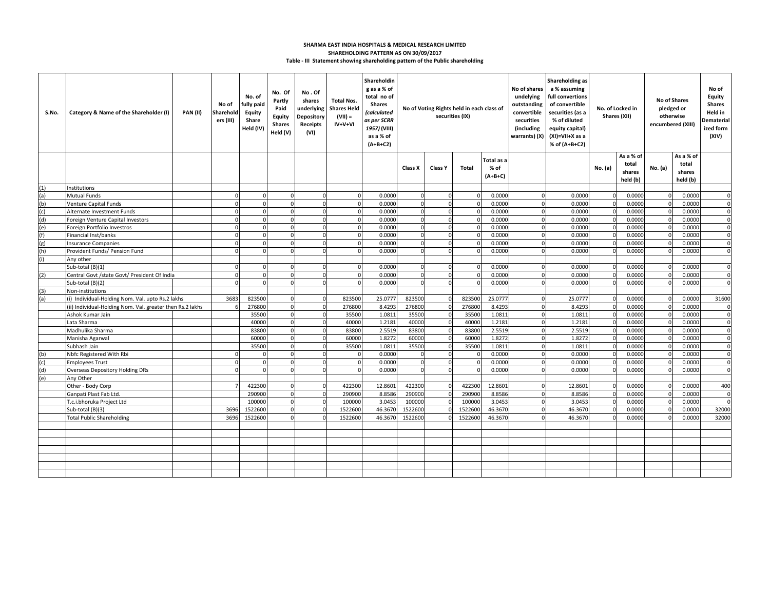## **Table - III Statement showing shareholding pattern of the Public shareholding SHARMA EAST INDIA HOSPITALS & MEDICAL RESEARCH LIMITED SHAREHOLDING PATTERN AS ON 30/09/2017**

| S.No. | Category & Name of the Shareholder (I)                    | <b>PAN (II)</b> | No of<br>Sharehold<br>ers (III) | No. of<br>fully paid<br>Equity<br>Share<br>Held (IV) | No. Of<br>Partly<br>Paid<br><b>Equity</b><br><b>Shares</b><br>Held (V) | No.Of<br>shares<br>underlying<br>Depository<br>Receipts<br>(VI) | <b>Total Nos.</b><br><b>Shares Held</b><br>$(VII) =$<br>IV+V+VI | Shareholdin<br>g as a % of<br>total no of<br><b>Shares</b><br>(calculated<br>as per SCRR<br>1957) (VIII)<br>as a % of<br>$(A+B+C2)$ | No of shares<br>outstanding<br>No of Voting Rights held in each class of<br>convertible<br>securities (IX)<br>warrants) (X) |                |              |            |          |         |          |           |         |           | Shareholding as<br>a % assuming<br>full convertions<br>of convertible<br>No. of Locked in<br>securities (as a<br>Shares (XII)<br>% of diluted<br>equity capital)<br>(XI)=VII+X as a<br>% of (A+B+C2) |  |  | <b>No of Shares</b><br>pledged or<br>otherwise<br>encumbered (XIII) |  | No of<br>Equity<br><b>Shares</b><br>Held in<br>Dematerial<br>ized form<br>(XIV) |
|-------|-----------------------------------------------------------|-----------------|---------------------------------|------------------------------------------------------|------------------------------------------------------------------------|-----------------------------------------------------------------|-----------------------------------------------------------------|-------------------------------------------------------------------------------------------------------------------------------------|-----------------------------------------------------------------------------------------------------------------------------|----------------|--------------|------------|----------|---------|----------|-----------|---------|-----------|------------------------------------------------------------------------------------------------------------------------------------------------------------------------------------------------------|--|--|---------------------------------------------------------------------|--|---------------------------------------------------------------------------------|
|       |                                                           |                 |                                 |                                                      |                                                                        |                                                                 |                                                                 |                                                                                                                                     |                                                                                                                             |                |              | Total as a |          |         |          | As a % of |         | As a % of |                                                                                                                                                                                                      |  |  |                                                                     |  |                                                                                 |
|       |                                                           |                 |                                 |                                                      |                                                                        |                                                                 |                                                                 |                                                                                                                                     | Class X                                                                                                                     | Class Y        | <b>Total</b> | % of       |          |         | No. (a)  | total     | No. (a) | total     |                                                                                                                                                                                                      |  |  |                                                                     |  |                                                                                 |
|       |                                                           |                 |                                 |                                                      |                                                                        |                                                                 |                                                                 |                                                                                                                                     |                                                                                                                             |                |              | $(A+B+C)$  |          |         |          | shares    |         | shares    |                                                                                                                                                                                                      |  |  |                                                                     |  |                                                                                 |
| (1)   | nstitutions                                               |                 |                                 |                                                      |                                                                        |                                                                 |                                                                 |                                                                                                                                     |                                                                                                                             |                |              |            |          |         |          | held (b)  |         | held (b)  |                                                                                                                                                                                                      |  |  |                                                                     |  |                                                                                 |
| (a)   | <b>Mutual Funds</b>                                       |                 |                                 |                                                      |                                                                        |                                                                 | $\Omega$                                                        | 0.0000                                                                                                                              |                                                                                                                             | $\Omega$       |              | 0.0000     |          | 0.0000  |          | 0.000     |         | 0.0000    | $\mathbf 0$                                                                                                                                                                                          |  |  |                                                                     |  |                                                                                 |
| (b)   | <b>Venture Capital Funds</b>                              |                 |                                 |                                                      |                                                                        |                                                                 | $\Omega$                                                        | 0.0000                                                                                                                              |                                                                                                                             | $\Omega$       |              | 0.0000     | $\Omega$ | 0.0000  |          | 0.0000    |         | 0.0000    | $\mathbf 0$                                                                                                                                                                                          |  |  |                                                                     |  |                                                                                 |
| (c)   | Alternate Investment Funds                                |                 |                                 |                                                      |                                                                        |                                                                 | $\Omega$                                                        | 0.0000                                                                                                                              |                                                                                                                             | $\Omega$       | $\Omega$     | 0.0000     | $\Omega$ | 0.0000  |          | 0.0000    |         | 0.0000    | $\mathbf 0$                                                                                                                                                                                          |  |  |                                                                     |  |                                                                                 |
| (d)   | Foreign Venture Capital Investors                         |                 |                                 |                                                      |                                                                        |                                                                 | $\Omega$                                                        | 0.0000                                                                                                                              |                                                                                                                             | $\Omega$       | $\Omega$     | 0.0000     | $\Omega$ | 0.0000  |          | 0.0000    |         | 0.0000    | $\Omega$                                                                                                                                                                                             |  |  |                                                                     |  |                                                                                 |
| (e)   | Foreign Portfolio Investros                               |                 |                                 |                                                      |                                                                        |                                                                 | $\Omega$                                                        | 0.0000                                                                                                                              |                                                                                                                             | $\Omega$       |              | 0.0000     | $\Omega$ | 0.0000  |          | 0.000     |         | 0.0000    | $\Omega$                                                                                                                                                                                             |  |  |                                                                     |  |                                                                                 |
| (f)   | Financial Inst/banks                                      |                 |                                 |                                                      |                                                                        | $\Omega$                                                        | $\Omega$                                                        | 0.0000                                                                                                                              |                                                                                                                             | $\Omega$       |              | 0.0000     | $\Omega$ | 0.0000  |          | 0.000     |         | 0.0000    | $\Omega$                                                                                                                                                                                             |  |  |                                                                     |  |                                                                                 |
| (g)   | <b>Insurance Companies</b>                                |                 |                                 | $\Omega$                                             |                                                                        | $\Omega$                                                        | $\Omega$                                                        | 0.0000                                                                                                                              |                                                                                                                             | $\Omega$       |              | 0.0000     | $\Omega$ | 0.0000  |          | 0.0000    |         | 0.0000    | $\mathbf 0$                                                                                                                                                                                          |  |  |                                                                     |  |                                                                                 |
| (h)   | Provident Funds/ Pension Fund                             |                 |                                 |                                                      |                                                                        |                                                                 | $\Omega$                                                        | 0.0000                                                                                                                              |                                                                                                                             | U              |              | 0.0000     |          | 0.0000  |          | 0.0000    |         | 0.0000    | 0                                                                                                                                                                                                    |  |  |                                                                     |  |                                                                                 |
| (i)   | Any other                                                 |                 |                                 |                                                      |                                                                        |                                                                 |                                                                 |                                                                                                                                     |                                                                                                                             |                |              |            |          |         |          |           |         |           |                                                                                                                                                                                                      |  |  |                                                                     |  |                                                                                 |
|       | Sub-total (B)(1)                                          |                 |                                 |                                                      |                                                                        |                                                                 | $\Omega$                                                        | 0.0000                                                                                                                              |                                                                                                                             | O              |              | 0.0000     |          | 0.0000  |          | 0.0000    |         | 0.0000    | $\Omega$                                                                                                                                                                                             |  |  |                                                                     |  |                                                                                 |
| (2)   | Central Govt /state Govt/ President Of India              |                 | $\Omega$                        |                                                      |                                                                        |                                                                 | $\Omega$                                                        | 0.0000                                                                                                                              |                                                                                                                             | $\Omega$       |              | 0.0000     |          | 0.0000  |          | 0.0000    |         | 0.0000    | $\Omega$                                                                                                                                                                                             |  |  |                                                                     |  |                                                                                 |
|       | Sub-total (B)(2)                                          |                 |                                 |                                                      |                                                                        |                                                                 | $\Omega$                                                        | 0.0000                                                                                                                              |                                                                                                                             | $\overline{0}$ |              | 0.0000     |          | 0.0000  |          | 0.0000    |         | 0.0000    | $\mathbf 0$                                                                                                                                                                                          |  |  |                                                                     |  |                                                                                 |
| (3)   | Non-institutions                                          |                 |                                 |                                                      |                                                                        |                                                                 |                                                                 |                                                                                                                                     |                                                                                                                             |                |              |            |          |         |          |           |         |           |                                                                                                                                                                                                      |  |  |                                                                     |  |                                                                                 |
| (a)   | (i) Individual-Holding Nom. Val. upto Rs.2 lakhs          |                 | 3683                            | 823500                                               | $\Omega$                                                               | $\Omega$                                                        | 823500                                                          | 25.0777                                                                                                                             | 823500                                                                                                                      | $\Omega$       | 823500       | 25.0777    | $\Omega$ | 25.0777 |          | 0.0000    |         | 0.0000    | 31600                                                                                                                                                                                                |  |  |                                                                     |  |                                                                                 |
|       | (ii) Individual-Holding Nom. Val. greater then Rs.2 lakhs |                 |                                 | 276800                                               | $\Omega$                                                               | $\Omega$                                                        | 276800                                                          | 8.4293                                                                                                                              | 276800                                                                                                                      | $\circ$        | 276800       | 8.4293     | $\Omega$ | 8.4293  |          | 0.0000    |         | 0.0000    | 0                                                                                                                                                                                                    |  |  |                                                                     |  |                                                                                 |
|       | Ashok Kumar Jain                                          |                 |                                 | 35500                                                |                                                                        | $\Omega$                                                        | 35500                                                           | 1.081                                                                                                                               | 35500                                                                                                                       | $\Omega$       | 35500        | 1.0811     | $\Omega$ | 1.0813  |          | 0.0000    |         | 0.0000    | $\mathbf 0$                                                                                                                                                                                          |  |  |                                                                     |  |                                                                                 |
|       | Lata Sharma                                               |                 |                                 | 4000C                                                | $\Omega$                                                               | $\Omega$                                                        | 40000                                                           | 1.2181                                                                                                                              | 40000                                                                                                                       | $\Omega$       | 40000        | 1.2181     | $\Omega$ | 1.2181  |          | 0.0000    |         | 0.0000    | 0                                                                                                                                                                                                    |  |  |                                                                     |  |                                                                                 |
|       | Madhulika Sharma                                          |                 |                                 | 83800                                                | $\Omega$                                                               | $\Omega$                                                        | 83800                                                           | 2.5519                                                                                                                              | 83800                                                                                                                       | $\overline{0}$ | 83800        | 2.5519     | $\Omega$ | 2.5519  | $\Omega$ | 0.0000    |         | 0.0000    | $\mathbf 0$                                                                                                                                                                                          |  |  |                                                                     |  |                                                                                 |
|       | Manisha Agarwal                                           |                 |                                 | 60000                                                | $\Omega$                                                               | $\mathbf{0}$                                                    | 60000                                                           | 1.8272                                                                                                                              | 60000                                                                                                                       | $\circ$        | 60000        | 1.8272     | $\Omega$ | 1.8272  |          | 0.0000    |         | 0.0000    | 0                                                                                                                                                                                                    |  |  |                                                                     |  |                                                                                 |
|       | Subhash Jain                                              |                 |                                 | 35500                                                |                                                                        | $\Omega$                                                        | 35500                                                           | 1.0811                                                                                                                              | 35500                                                                                                                       | $\overline{0}$ | 35500        | 1.0811     | n        | 1.0811  |          | 0.0000    |         | 0.0000    | 0                                                                                                                                                                                                    |  |  |                                                                     |  |                                                                                 |
| (b)   | Nbfc Registered With Rbi                                  |                 |                                 |                                                      |                                                                        |                                                                 | $\Omega$                                                        | 0.0000                                                                                                                              |                                                                                                                             | $\Omega$       |              | 0.0000     |          | 0.0000  |          | 0.0000    |         | 0.0000    | $\mathbf 0$                                                                                                                                                                                          |  |  |                                                                     |  |                                                                                 |
| (c)   | <b>Employees Trust</b>                                    |                 |                                 |                                                      |                                                                        |                                                                 | $\Omega$                                                        | 0.0000                                                                                                                              |                                                                                                                             | <sup>0</sup>   |              | 0.0000     |          | 0.0000  |          | 0.0000    |         | 0.0000    | $\Omega$                                                                                                                                                                                             |  |  |                                                                     |  |                                                                                 |
| (d)   | <b>Overseas Depository Holding DRs</b>                    |                 |                                 |                                                      |                                                                        |                                                                 | $\Omega$                                                        | 0.0000                                                                                                                              |                                                                                                                             | <sup>0</sup>   |              | 0.0000     |          | 0.0000  |          | 0.0000    |         | 0.0000    | $\Omega$                                                                                                                                                                                             |  |  |                                                                     |  |                                                                                 |
| (e)   | Any Other                                                 |                 |                                 |                                                      |                                                                        |                                                                 |                                                                 |                                                                                                                                     |                                                                                                                             |                |              |            |          |         |          |           |         |           |                                                                                                                                                                                                      |  |  |                                                                     |  |                                                                                 |
|       | Other - Body Corp                                         |                 |                                 | 422300                                               |                                                                        |                                                                 | 422300                                                          | 12.8601                                                                                                                             | 422300                                                                                                                      | $\Omega$       | 422300       | 12.8601    |          | 12.8601 |          | 0.000     |         | 0.0000    | 400                                                                                                                                                                                                  |  |  |                                                                     |  |                                                                                 |
|       | Ganpati Plast Fab Ltd.                                    |                 |                                 | 290900                                               |                                                                        |                                                                 | 290900                                                          | 8.8586                                                                                                                              | 290900                                                                                                                      | $\Omega$       | 290900       | 8.8586     | $\Omega$ | 8.8586  |          | 0.0000    |         | 0.0000    | 0                                                                                                                                                                                                    |  |  |                                                                     |  |                                                                                 |
|       | T.c.i.bhoruka Project Ltd                                 |                 |                                 | 100000                                               |                                                                        |                                                                 | 100000                                                          | 3.0453                                                                                                                              | 100000                                                                                                                      | O              | 10000        | 3.0453     | $\Omega$ | 3.0453  |          | 0.000     |         | 0.0000    | $\mathbf 0$                                                                                                                                                                                          |  |  |                                                                     |  |                                                                                 |
|       | Sub-total (B)(3)                                          |                 | 3696                            | 1522600                                              | $\Omega$                                                               |                                                                 | 1522600                                                         | 46.367                                                                                                                              | 1522600                                                                                                                     | U              | 1522600      | 46.3670    | $\Omega$ | 46.3670 |          | 0.0000    |         | 0.0000    | 32000                                                                                                                                                                                                |  |  |                                                                     |  |                                                                                 |
|       | <b>Total Public Shareholding</b>                          |                 | 3696                            | 1522600                                              |                                                                        |                                                                 | 1522600                                                         | 46.3670                                                                                                                             | 1522600                                                                                                                     |                | 1522600      | 46.3670    | O        | 46.3670 |          | 0.000     |         | 0.0000    | 32000                                                                                                                                                                                                |  |  |                                                                     |  |                                                                                 |
|       |                                                           |                 |                                 |                                                      |                                                                        |                                                                 |                                                                 |                                                                                                                                     |                                                                                                                             |                |              |            |          |         |          |           |         |           |                                                                                                                                                                                                      |  |  |                                                                     |  |                                                                                 |
|       |                                                           |                 |                                 |                                                      |                                                                        |                                                                 |                                                                 |                                                                                                                                     |                                                                                                                             |                |              |            |          |         |          |           |         |           |                                                                                                                                                                                                      |  |  |                                                                     |  |                                                                                 |
|       |                                                           |                 |                                 |                                                      |                                                                        |                                                                 |                                                                 |                                                                                                                                     |                                                                                                                             |                |              |            |          |         |          |           |         |           |                                                                                                                                                                                                      |  |  |                                                                     |  |                                                                                 |
|       |                                                           |                 |                                 |                                                      |                                                                        |                                                                 |                                                                 |                                                                                                                                     |                                                                                                                             |                |              |            |          |         |          |           |         |           |                                                                                                                                                                                                      |  |  |                                                                     |  |                                                                                 |
|       |                                                           |                 |                                 |                                                      |                                                                        |                                                                 |                                                                 |                                                                                                                                     |                                                                                                                             |                |              |            |          |         |          |           |         |           |                                                                                                                                                                                                      |  |  |                                                                     |  |                                                                                 |
|       |                                                           |                 |                                 |                                                      |                                                                        |                                                                 |                                                                 |                                                                                                                                     |                                                                                                                             |                |              |            |          |         |          |           |         |           |                                                                                                                                                                                                      |  |  |                                                                     |  |                                                                                 |
|       |                                                           |                 |                                 |                                                      |                                                                        |                                                                 |                                                                 |                                                                                                                                     |                                                                                                                             |                |              |            |          |         |          |           |         |           |                                                                                                                                                                                                      |  |  |                                                                     |  |                                                                                 |